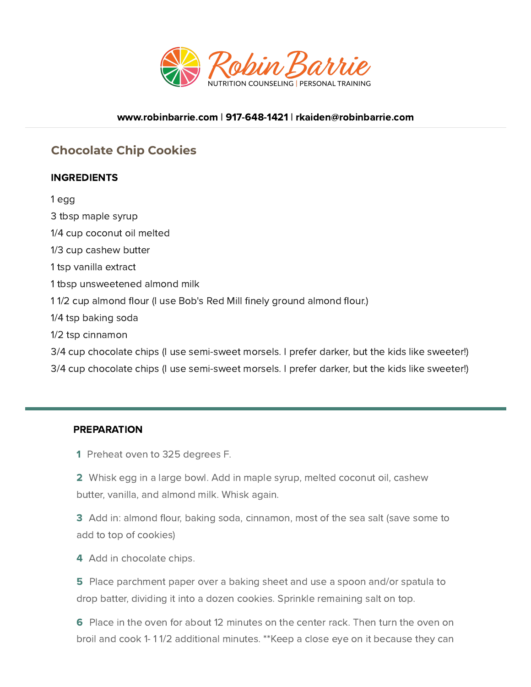

## [www.robinbarrie.com](https://www.robinbarrie.com/) | [917-648-1421](tel:9176481421) | [rkaiden@robinbarrie.com](mail:rkaiden@robinbarrie.coms)

## **Chocolate Chip Cookies**

## INGREDIENTS

1 egg 3 tbsp maple syrup 1/4 cup coconut oil melted 1/3 cup cashew butter 1 tsp vanilla extract 1 tbsp unsweetened almond milk 11/2 cup almond flour (I use Bob's Red Mill finely ground almond flour.) 1/4 tsp baking soda 1/2 tsp cinnamon 3/4 cup chocolate chips (I use semi-sweet morsels. I prefer darker, but the kids like sweeter!) 3/4 cup chocolate chips (I use semi-sweet morsels. I prefer darker, but the kids like sweeter!)

## PREPARATION

1 Preheat oven to 325 degrees F.

2 Whisk egg in a large bowl. Add in maple syrup, melted coconut oil, cashew butter, vanilla, and almond milk. Whisk again.

3 Add in: almond flour, baking soda, cinnamon, most of the sea salt (save some to add to top of cookies)

4 Add in chocolate chips.

5 Place parchment paper over a baking sheet and use a spoon and/or spatula to drop batter, dividing it into a dozen cookies. Sprinkle remaining salt on top.

6 Place in the oven for about 12 minutes on the center rack. Then turn the oven on broil and cook 1- 1 1/2 additional minutes. \*\*Keep a close eye on it because they can